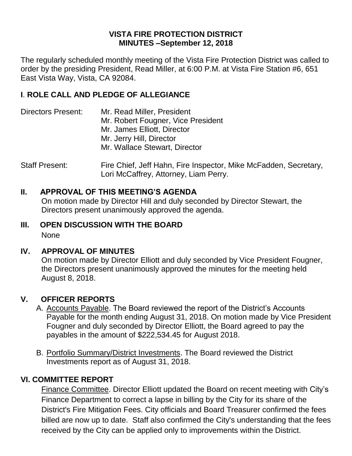#### **VISTA FIRE PROTECTION DISTRICT MINUTES –September 12, 2018**

The regularly scheduled monthly meeting of the Vista Fire Protection District was called to order by the presiding President, Read Miller, at 6:00 P.M. at Vista Fire Station #6, 651 East Vista Way, Vista, CA 92084.

### **I**. **ROLE CALL AND PLEDGE OF ALLEGIANCE**

- Directors Present: Mr. Read Miller, President Mr. Robert Fougner, Vice President Mr. James Elliott, Director Mr. Jerry Hill, Director Mr. Wallace Stewart, Director
- Staff Present: Fire Chief, Jeff Hahn, Fire Inspector, Mike McFadden, Secretary, Lori McCaffrey, Attorney, Liam Perry.

#### **II. APPROVAL OF THIS MEETING'S AGENDA**

On motion made by Director Hill and duly seconded by Director Stewart, the Directors present unanimously approved the agenda.

# **III. OPEN DISCUSSION WITH THE BOARD**

None

#### **IV. APPROVAL OF MINUTES**

On motion made by Director Elliott and duly seconded by Vice President Fougner, the Directors present unanimously approved the minutes for the meeting held August 8, 2018.

#### **V. OFFICER REPORTS**

- A. Accounts Payable. The Board reviewed the report of the District's Accounts Payable for the month ending August 31, 2018. On motion made by Vice President Fougner and duly seconded by Director Elliott, the Board agreed to pay the payables in the amount of \$222,534.45 for August 2018.
- B. Portfolio Summary/District Investments. The Board reviewed the District Investments report as of August 31, 2018.

#### **VI. COMMITTEE REPORT**

Finance Committee. Director Elliott updated the Board on recent meeting with City's Finance Department to correct a lapse in billing by the City for its share of the District's Fire Mitigation Fees. City officials and Board Treasurer confirmed the fees billed are now up to date. Staff also confirmed the City's understanding that the fees received by the City can be applied only to improvements within the District.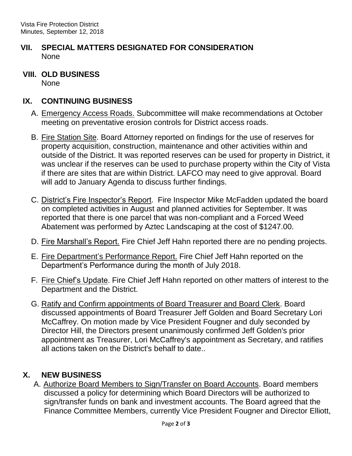### **VII. SPECIAL MATTERS DESIGNATED FOR CONSIDERATION** None

**VIII. OLD BUSINESS** None

## **IX. CONTINUING BUSINESS**

- A. Emergency Access Roads. Subcommittee will make recommendations at October meeting on preventative erosion controls for District access roads.
- B. Fire Station Site. Board Attorney reported on findings for the use of reserves for property acquisition, construction, maintenance and other activities within and outside of the District. It was reported reserves can be used for property in District, it was unclear if the reserves can be used to purchase property within the City of Vista if there are sites that are within District. LAFCO may need to give approval. Board will add to January Agenda to discuss further findings.
- C. District's Fire Inspector's Report. Fire Inspector Mike McFadden updated the board on completed activities in August and planned activities for September. It was reported that there is one parcel that was non-compliant and a Forced Weed Abatement was performed by Aztec Landscaping at the cost of \$1247.00.
- D. Fire Marshall's Report. Fire Chief Jeff Hahn reported there are no pending projects.
- E. Fire Department's Performance Report. Fire Chief Jeff Hahn reported on the Department's Performance during the month of July 2018.
- F. Fire Chief's Update. Fire Chief Jeff Hahn reported on other matters of interest to the Department and the District.
- G. Ratify and Confirm appointments of Board Treasurer and Board Clerk. Board discussed appointments of Board Treasurer Jeff Golden and Board Secretary Lori McCaffrey. On motion made by Vice President Fougner and duly seconded by Director Hill, the Directors present unanimously confirmed Jeff Golden's prior appointment as Treasurer, Lori McCaffrey's appointment as Secretary, and ratifies all actions taken on the District's behalf to date..

# **X. NEW BUSINESS**

A. Authorize Board Members to Sign/Transfer on Board Accounts. Board members discussed a policy for determining which Board Directors will be authorized to sign/transfer funds on bank and investment accounts. The Board agreed that the Finance Committee Members, currently Vice President Fougner and Director Elliott,